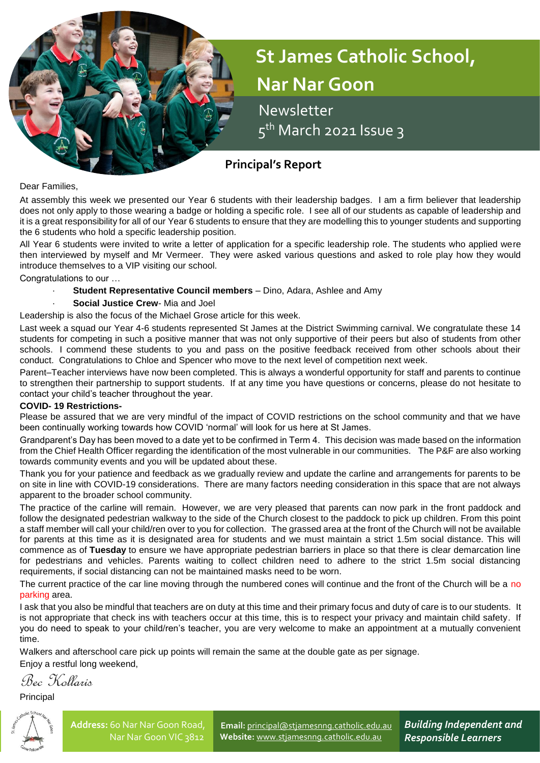

# **St James Catholic School, Nar Nar Goon**

 Newsletter 5<sup>th</sup> March 2021 Issue 3

# **Principal's Report**

Dear Families,

At assembly this week we presented our Year 6 students with their leadership badges. I am a firm believer that leadership does not only apply to those wearing a badge or holding a specific role. I see all of our students as capable of leadership and it is a great responsibility for all of our Year 6 students to ensure that they are modelling this to younger students and supporting the 6 students who hold a specific leadership position.

All Year 6 students were invited to write a letter of application for a specific leadership role. The students who applied were then interviewed by myself and Mr Vermeer. They were asked various questions and asked to role play how they would introduce themselves to a VIP visiting our school.

Congratulations to our …

· **Student Representative Council members** – Dino, Adara, Ashlee and Amy

# **Social Justice Crew-** Mia and Joel

Leadership is also the focus of the Michael Grose article for this week.

Last week a squad our Year 4-6 students represented St James at the District Swimming carnival. We congratulate these 14 students for competing in such a positive manner that was not only supportive of their peers but also of students from other schools. I commend these students to you and pass on the positive feedback received from other schools about their conduct. Congratulations to Chloe and Spencer who move to the next level of competition next week.

Parent–Teacher interviews have now been completed. This is always a wonderful opportunity for staff and parents to continue to strengthen their partnership to support students. If at any time you have questions or concerns, please do not hesitate to contact your child's teacher throughout the year.

# **COVID- 19 Restrictions-**

Please be assured that we are very mindful of the impact of COVID restrictions on the school community and that we have been continually working towards how COVID 'normal' will look for us here at St James.

Grandparent's Day has been moved to a date yet to be confirmed in Term 4. This decision was made based on the information from the Chief Health Officer regarding the identification of the most vulnerable in our communities. The P&F are also working towards community events and you will be updated about these.

Thank you for your patience and feedback as we gradually review and update the carline and arrangements for parents to be on site in line with COVID-19 considerations. There are many factors needing consideration in this space that are not always apparent to the broader school community.

The practice of the carline will remain. However, we are very pleased that parents can now park in the front paddock and follow the designated pedestrian walkway to the side of the Church closest to the paddock to pick up children. From this point a staff member will call your child/ren over to you for collection. The grassed area at the front of the Church will not be available for parents at this time as it is designated area for students and we must maintain a strict 1.5m social distance. This will commence as of **Tuesday** to ensure we have appropriate pedestrian barriers in place so that there is clear demarcation line for pedestrians and vehicles. Parents waiting to collect children need to adhere to the strict 1.5m social distancing requirements, if social distancing can not be maintained masks need to be worn.

The current practice of the car line moving through the numbered cones will continue and the front of the Church will be a no parking area.

I ask that you also be mindful that teachers are on duty at this time and their primary focus and duty of care is to our students. It is not appropriate that check ins with teachers occur at this time, this is to respect your privacy and maintain child safety. If you do need to speak to your child/ren's teacher, you are very welcome to make an appointment at a mutually convenient time.

Walkers and afterschool care pick up points will remain the same at the double gate as per signage.

Enjoy a restful long weekend,

Bec Kollaris

Principal



**Email:** [principal@stjamesnng.catholic.edu.au](mailto:principal@stjamesnng.catholic.edu.au) **Website:** [www.stjamesnng.catholic.edu.au](http://www.stjamesnng.catholic.edu.au/)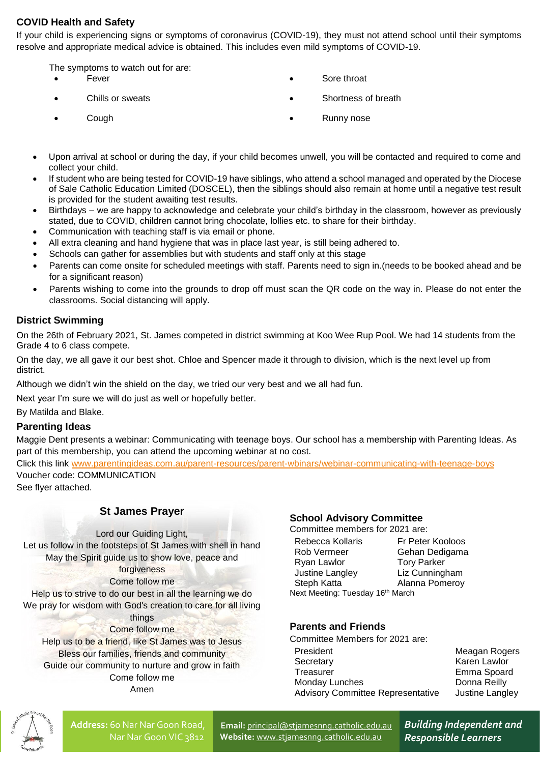# **COVID Health and Safety**

If your child is experiencing signs or symptoms of coronavirus (COVID-19), they must not attend school until their symptoms resolve and appropriate medical advice is obtained. This includes even mild symptoms of COVID-19.

The symptoms to watch out for are:

- 
- 
- Fever **Sore throat** 
	- Chills or sweats **Shortness** of breath **Shortness** of breath
	-
- Cough Runny nose
- Upon arrival at school or during the day, if your child becomes unwell, you will be contacted and required to come and collect your child.
- If student who are being tested for COVID-19 have siblings, who attend a school managed and operated by the Diocese of Sale Catholic Education Limited (DOSCEL), then the siblings should also remain at home until a negative test result is provided for the student awaiting test results.
- Birthdays we are happy to acknowledge and celebrate your child's birthday in the classroom, however as previously stated, due to COVID, children cannot bring chocolate, lollies etc. to share for their birthday.
- Communication with teaching staff is via email or phone.
- All extra cleaning and hand hygiene that was in place last year, is still being adhered to.
- Schools can gather for assemblies but with students and staff only at this stage
- Parents can come onsite for scheduled meetings with staff. Parents need to sign in.(needs to be booked ahead and be for a significant reason)
- Parents wishing to come into the grounds to drop off must scan the QR code on the way in. Please do not enter the classrooms. Social distancing will apply.

# **District Swimming**

On the 26th of February 2021, St. James competed in district swimming at Koo Wee Rup Pool. We had 14 students from the Grade 4 to 6 class compete.

On the day, we all gave it our best shot. Chloe and Spencer made it through to division, which is the next level up from district.

Although we didn't win the shield on the day, we tried our very best and we all had fun.

Next year I'm sure we will do just as well or hopefully better.

By Matilda and Blake.

# **Parenting Ideas**

Maggie Dent presents a webinar: Communicating with teenage boys. Our school has a membership with Parenting Ideas. As part of this membership, you can attend the upcoming webinar at no cost.

Click this link [www.parentingideas.com.au/parent-resources/parent-wbinars/webinar-communicating-with-teenage-boys](http://www.parentingideas.com.au/parent-resources/parent-wbinars/webinar-communicating-with-teenage-boys) Voucher code: COMMUNICATION

See flyer attached.

# **St James Prayer**

Lord our Guiding Light, Let us follow in the footsteps of St James with shell in hand May the Spirit guide us to show love, peace and

# forgiveness

Come follow me

Help us to strive to do our best in all the learning we do We pray for wisdom with God's creation to care for all living

### things Come follow me

Help us to be a friend, like St James was to Jesus Bless our families, friends and community Guide our community to nurture and grow in faith Come follow me Amen

# **School Advisory Committee**

Committee members for 2021 are:

| Rebecca Kollaris                             | Fr Peter Kooloos   |
|----------------------------------------------|--------------------|
| Rob Vermeer                                  | Gehan Dedigama     |
| Ryan Lawlor                                  | <b>Tory Parker</b> |
| Justine Langley                              | Liz Cunningham     |
| Steph Katta                                  | Alanna Pomeroy     |
| Next Meeting: Tuesday 16 <sup>th</sup> March |                    |

# **Parents and Friends**

Committee Members for 2021 are:

President Meagan Rogers Secretary **Karen Lawlor** Treasurer **Emma** Spoard Monday Lunches Donna Reilly Advisory Committee Representative Justine Langley



**Address:** 60 Nar Nar Goon Road, Nar Nar Goon VIC 3812

**Email:** [principal@stjamesnng.catholic.edu.au](mailto:principal@stjamesnng.catholic.edu.au) **Website:** [www.stjamesnng.catholic.edu.au](http://www.stjamesnng.catholic.edu.au/)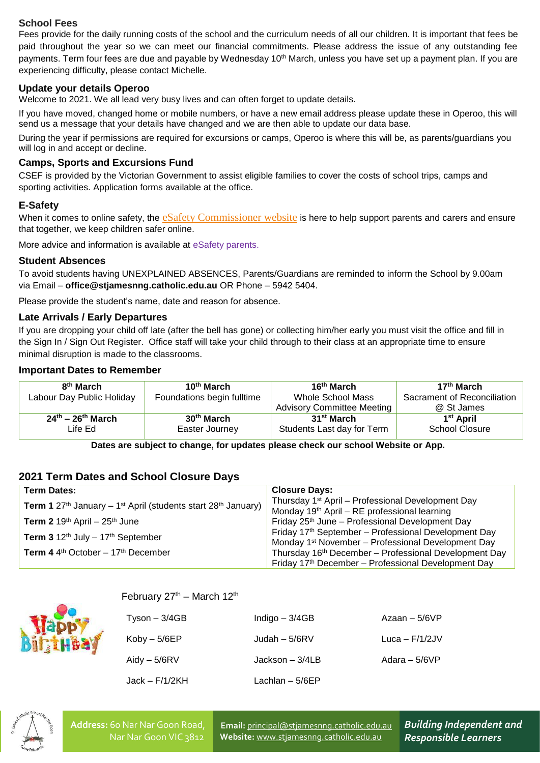# **School Fees**

Fees provide for the daily running costs of the school and the curriculum needs of all our children. It is important that fees be paid throughout the year so we can meet our financial commitments. Please address the issue of any outstanding fee payments. Term four fees are due and payable by Wednesday 10<sup>th</sup> March, unless you have set up a payment plan. If you are experiencing difficulty, please contact Michelle.

# **Update your details Operoo**

Welcome to 2021. We all lead very busy lives and can often forget to update details.

If you have moved, changed home or mobile numbers, or have a new email address please update these in Operoo, this will send us a message that your details have changed and we are then able to update our data base.

During the year if permissions are required for excursions or camps, Operoo is where this will be, as parents/guardians you will log in and accept or decline.

# **Camps, Sports and Excursions Fund**

CSEF is provided by the Victorian Government to assist eligible families to cover the costs of school trips, camps and sporting activities. Application forms available at the office.

# **E-Safety**

When it comes to online safety, the [eSafety Commissioner website](https://www.esafety.gov.au/parents) is here to help support parents and carers and ensure that together, we keep children safer online.

More advice and information is available at [eSafety parents.](https://www.esafety.gov.au/parents)

# **Student Absences**

To avoid students having UNEXPLAINED ABSENCES, Parents/Guardians are reminded to inform the School by 9.00am via Email – **office@stjamesnng.catholic.edu.au** OR Phone – 5942 5404.

Please provide the student's name, date and reason for absence.

# **Late Arrivals / Early Departures**

If you are dropping your child off late (after the bell has gone) or collecting him/her early you must visit the office and fill in the Sign In / Sign Out Register. Office staff will take your child through to their class at an appropriate time to ensure minimal disruption is made to the classrooms.

# **Important Dates to Remember**

| 8 <sup>th</sup> March              | 10 <sup>th</sup> March     | 16 <sup>th</sup> March            | 17 <sup>th</sup> March      |
|------------------------------------|----------------------------|-----------------------------------|-----------------------------|
| Labour Day Public Holiday          | Foundations begin fulltime | <b>Whole School Mass</b>          | Sacrament of Reconciliation |
|                                    |                            | <b>Advisory Committee Meeting</b> | @ St James                  |
| $24^{th}$ – 26 <sup>th</sup> March | 30 <sup>th</sup> March     | 31 <sup>st</sup> March            | 1 <sup>st</sup> April       |
| Life Ed.                           | Easter Journey             | Students Last day for Term        | <b>School Closure</b>       |

**Dates are subject to change, for updates please check our school Website or App.**

# **2021 Term Dates and School Closure Days**

| <b>Term Dates:</b>                                                                                       | <b>Closure Days:</b>                                              |  |
|----------------------------------------------------------------------------------------------------------|-------------------------------------------------------------------|--|
|                                                                                                          | Thursday 1 <sup>st</sup> April - Professional Development Day     |  |
| <b>Term 1</b> 27 <sup>th</sup> January – 1 <sup>st</sup> April (students start 28 <sup>th</sup> January) | Monday $19th$ April – RE professional learning                    |  |
| <b>Term 2</b> 19 <sup>th</sup> April – 25 <sup>th</sup> June                                             | Friday 25 <sup>th</sup> June - Professional Development Day       |  |
|                                                                                                          | Friday 17th September - Professional Development Day              |  |
| Term $3.12th$ July - 17 <sup>th</sup> September                                                          | Monday 1 <sup>st</sup> November – Professional Development Day    |  |
| <b>Term 4</b> 4 <sup>th</sup> October $-17$ <sup>th</sup> December                                       | Thursday 16 <sup>th</sup> December - Professional Development Day |  |
|                                                                                                          | Friday 17th December – Professional Development Day               |  |

# February  $27<sup>th</sup>$  – March 12<sup>th</sup>

| Tyson – 3/4GB  | Indigo $-3/4GB$  | Azaan $-5/6VP$   |
|----------------|------------------|------------------|
| Kobv – 5/6EP   | Judah – $5/6RV$  | Luca – $F/1/2JV$ |
| Aidy – 5/6RV   | Jackson $-3/4LB$ | Adara – $5/6VP$  |
| Jack – F/1/2KH | Lachlan $-5/6EP$ |                  |



**Address:** 60 Nar Nar Goon Road, Nar Nar Goon VIC 3812

**Email:** [principal@stjamesnng.catholic.edu.au](mailto:principal@stjamesnng.catholic.edu.au) **Website:** [www.stjamesnng.catholic.edu.au](http://www.stjamesnng.catholic.edu.au/)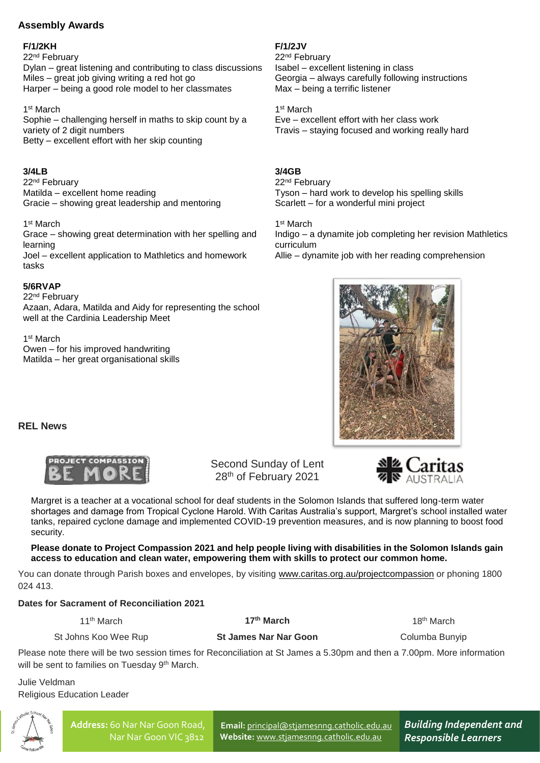# **Assembly Awards**

# **F/1/2KH**

22nd February Dylan – great listening and contributing to class discussions Miles – great job giving writing a red hot go Harper – being a good role model to her classmates

1 st March Sophie – challenging herself in maths to skip count by a variety of 2 digit numbers Betty – excellent effort with her skip counting

# **3/4LB**

22nd February Matilda – excellent home reading Gracie – showing great leadership and mentoring

1 st March

Grace – showing great determination with her spelling and learning Joel – excellent application to Mathletics and homework tasks

# **5/6RVAP**

22nd February Azaan, Adara, Matilda and Aidy for representing the school

well at the Cardinia Leadership Meet

1 st March Owen – for his improved handwriting Matilda – her great organisational skills **F/1/2JV** 22nd February Isabel – excellent listening in class Georgia – always carefully following instructions Max – being a terrific listener

1 st March Eve – excellent effort with her class work Travis – staying focused and working really hard

# **3/4GB**

22nd February Tyson – hard work to develop his spelling skills Scarlett – for a wonderful mini project

1 st March Indigo – a dynamite job completing her revision Mathletics curriculum Allie – dynamite job with her reading comprehension



**REL News**



Second Sunday of Lent 28<sup>th</sup> of February 2021



Margret is a teacher at a vocational school for deaf students in the Solomon Islands that suffered long-term water shortages and damage from Tropical Cyclone Harold. With Caritas Australia's support, Margret's school installed water tanks, repaired cyclone damage and implemented COVID-19 prevention measures, and is now planning to boost food security.

**Please donate to Project Compassion 2021 and help people living with disabilities in the Solomon Islands gain access to education and clean water, empowering them with skills to protect our common home.**

You can donate through Parish boxes and envelopes, by visiting [www.caritas.org.au/projectcompassion](http://www.caritas.org.au/projectcompassion) or phoning 1800 024 413.

# **Dates for Sacrament of Reconciliation 2021**

11th March

**17th March**

18th March

St Johns Koo Wee Rup

**St James Nar Nar Goon**

Columba Bunyip

Please note there will be two session times for Reconciliation at St James a 5.30pm and then a 7.00pm. More information will be sent to families on Tuesday 9<sup>th</sup> March.

Julie Veldman Religious Education Leader



**Email:** [principal@stjamesnng.catholic.edu.au](mailto:principal@stjamesnng.catholic.edu.au) **Website:** [www.stjamesnng.catholic.edu.au](http://www.stjamesnng.catholic.edu.au/)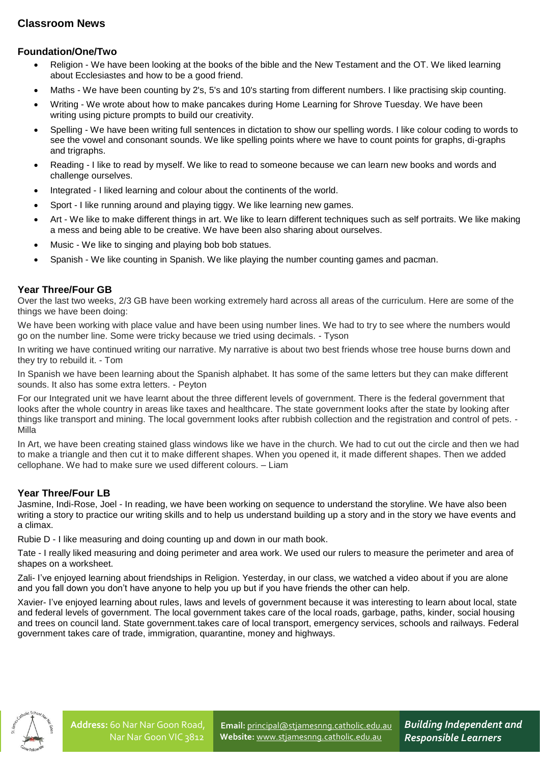# **Foundation/One/Two**

- Religion We have been looking at the books of the bible and the New Testament and the OT. We liked learning about Ecclesiastes and how to be a good friend.
- Maths We have been counting by 2's, 5's and 10's starting from different numbers. I like practising skip counting.
- Writing We wrote about how to make pancakes during Home Learning for Shrove Tuesday. We have been writing using picture prompts to build our creativity.
- Spelling We have been writing full sentences in dictation to show our spelling words. I like colour coding to words to see the vowel and consonant sounds. We like spelling points where we have to count points for graphs, di-graphs and trigraphs.
- Reading I like to read by myself. We like to read to someone because we can learn new books and words and challenge ourselves.
- Integrated I liked learning and colour about the continents of the world.
- Sport I like running around and playing tiggy. We like learning new games.
- Art We like to make different things in art. We like to learn different techniques such as self portraits. We like making a mess and being able to be creative. We have been also sharing about ourselves.
- Music We like to singing and playing bob bob statues.
- Spanish We like counting in Spanish. We like playing the number counting games and pacman.

# **Year Three/Four GB**

Over the last two weeks, 2/3 GB have been working extremely hard across all areas of the curriculum. Here are some of the things we have been doing:

We have been working with place value and have been using number lines. We had to try to see where the numbers would go on the number line. Some were tricky because we tried using decimals. - Tyson

In writing we have continued writing our narrative. My narrative is about two best friends whose tree house burns down and they try to rebuild it. - Tom

In Spanish we have been learning about the Spanish alphabet. It has some of the same letters but they can make different sounds. It also has some extra letters. - Peyton

For our Integrated unit we have learnt about the three different levels of government. There is the federal government that looks after the whole country in areas like taxes and healthcare. The state government looks after the state by looking after things like transport and mining. The local government looks after rubbish collection and the registration and control of pets. - Milla

In Art, we have been creating stained glass windows like we have in the church. We had to cut out the circle and then we had to make a triangle and then cut it to make different shapes. When you opened it, it made different shapes. Then we added cellophane. We had to make sure we used different colours. – Liam

# **Year Three/Four LB**

Jasmine, Indi-Rose, Joel - In reading, we have been working on sequence to understand the storyline. We have also been writing a story to practice our writing skills and to help us understand building up a story and in the story we have events and a climax.

Rubie D - I like measuring and doing counting up and down in our math book.

Tate - I really liked measuring and doing perimeter and area work. We used our rulers to measure the perimeter and area of shapes on a worksheet.

Zali- I've enjoyed learning about friendships in Religion. Yesterday, in our class, we watched a video about if you are alone and you fall down you don't have anyone to help you up but if you have friends the other can help.

Xavier- I've enjoyed learning about rules, laws and levels of government because it was interesting to learn about local, state and federal levels of government. The local government takes care of the local roads, garbage, paths, kinder, social housing and trees on council land. State government.takes care of local transport, emergency services, schools and railways. Federal government takes care of trade, immigration, quarantine, money and highways.